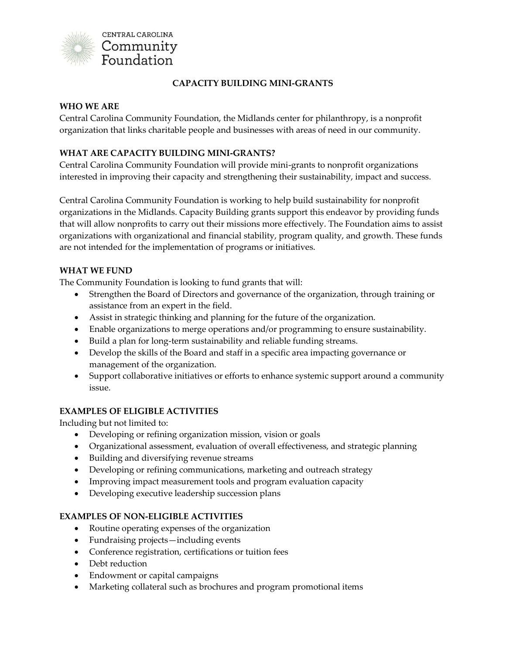

# **CAPACITY BUILDING MINI-GRANTS**

#### **WHO WE ARE**

Central Carolina Community Foundation, the Midlands center for philanthropy, is a nonprofit organization that links charitable people and businesses with areas of need in our community.

#### **WHAT ARE CAPACITY BUILDING MINI-GRANTS?**

Central Carolina Community Foundation will provide mini-grants to nonprofit organizations interested in improving their capacity and strengthening their sustainability, impact and success.

Central Carolina Community Foundation is working to help build sustainability for nonprofit organizations in the Midlands. Capacity Building grants support this endeavor by providing funds that will allow nonprofits to carry out their missions more effectively. The Foundation aims to assist organizations with organizational and financial stability, program quality, and growth. These funds are not intended for the implementation of programs or initiatives.

#### **WHAT WE FUND**

The Community Foundation is looking to fund grants that will:

- Strengthen the Board of Directors and governance of the organization, through training or assistance from an expert in the field.
- Assist in strategic thinking and planning for the future of the organization.
- Enable organizations to merge operations and/or programming to ensure sustainability.
- Build a plan for long-term sustainability and reliable funding streams.
- Develop the skills of the Board and staff in a specific area impacting governance or management of the organization.
- Support collaborative initiatives or efforts to enhance systemic support around a community issue.

# **EXAMPLES OF ELIGIBLE ACTIVITIES**

Including but not limited to:

- Developing or refining organization mission, vision or goals
- Organizational assessment, evaluation of overall effectiveness, and strategic planning
- Building and diversifying revenue streams
- Developing or refining communications, marketing and outreach strategy
- Improving impact measurement tools and program evaluation capacity
- Developing executive leadership succession plans

# **EXAMPLES OF NON-ELIGIBLE ACTIVITIES**

- Routine operating expenses of the organization
- Fundraising projects—including events
- Conference registration, certifications or tuition fees
- Debt reduction
- Endowment or capital campaigns
- Marketing collateral such as brochures and program promotional items